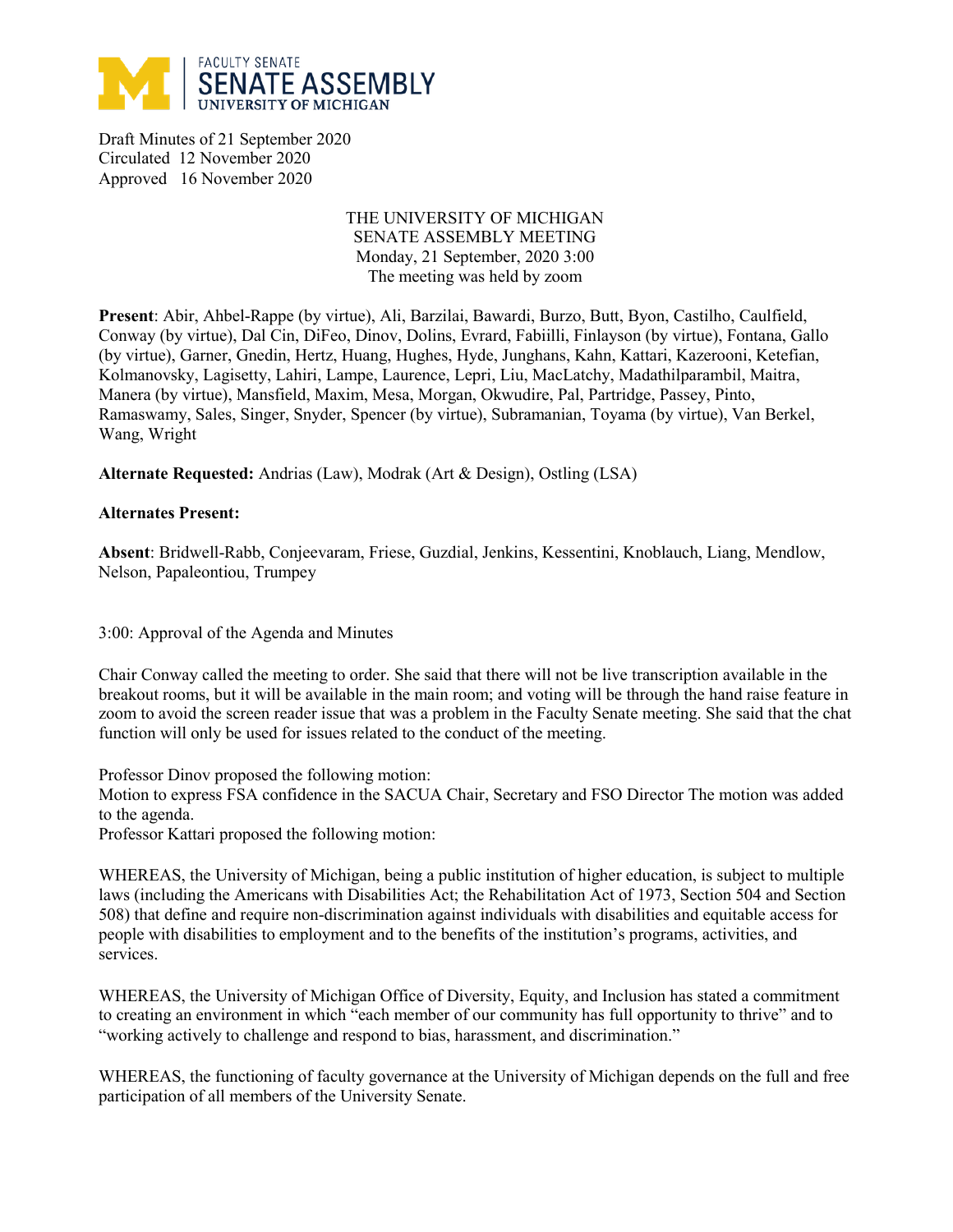

Draft Minutes of 21 September 2020 Circulated 12 November 2020 Approved 16 November 2020

## THE UNIVERSITY OF MICHIGAN SENATE ASSEMBLY MEETING Monday, 21 September, 2020 3:00 The meeting was held by zoom

**Present**: Abir, Ahbel-Rappe (by virtue), Ali, Barzilai, Bawardi, Burzo, Butt, Byon, Castilho, Caulfield, Conway (by virtue), Dal Cin, DiFeo, Dinov, Dolins, Evrard, Fabiilli, Finlayson (by virtue), Fontana, Gallo (by virtue), Garner, Gnedin, Hertz, Huang, Hughes, Hyde, Junghans, Kahn, Kattari, Kazerooni, Ketefian, Kolmanovsky, Lagisetty, Lahiri, Lampe, Laurence, Lepri, Liu, MacLatchy, Madathilparambil, Maitra, Manera (by virtue), Mansfield, Maxim, Mesa, Morgan, Okwudire, Pal, Partridge, Passey, Pinto, Ramaswamy, Sales, Singer, Snyder, Spencer (by virtue), Subramanian, Toyama (by virtue), Van Berkel, Wang, Wright

**Alternate Requested:** Andrias (Law), Modrak (Art & Design), Ostling (LSA)

## **Alternates Present:**

**Absent**: Bridwell-Rabb, Conjeevaram, Friese, Guzdial, Jenkins, Kessentini, Knoblauch, Liang, Mendlow, Nelson, Papaleontiou, Trumpey

3:00: Approval of the Agenda and Minutes

Chair Conway called the meeting to order. She said that there will not be live transcription available in the breakout rooms, but it will be available in the main room; and voting will be through the hand raise feature in zoom to avoid the screen reader issue that was a problem in the Faculty Senate meeting. She said that the chat function will only be used for issues related to the conduct of the meeting.

Professor Dinov proposed the following motion:

Motion to express FSA confidence in the SACUA Chair, Secretary and FSO Director The motion was added to the agenda.

Professor Kattari proposed the following motion:

WHEREAS, the University of Michigan, being a public institution of higher education, is subject to multiple laws (including the Americans with Disabilities Act; the Rehabilitation Act of 1973, Section 504 and Section 508) that define and require non-discrimination against individuals with disabilities and equitable access for people with disabilities to employment and to the benefits of the institution's programs, activities, and services.

WHEREAS, the University of Michigan Office of Diversity, Equity, and Inclusion has stated a commitment to creating an environment in which "each member of our community has full opportunity to thrive" and to "working actively to challenge and respond to bias, harassment, and discrimination."

WHEREAS, the functioning of faculty governance at the University of Michigan depends on the full and free participation of all members of the University Senate.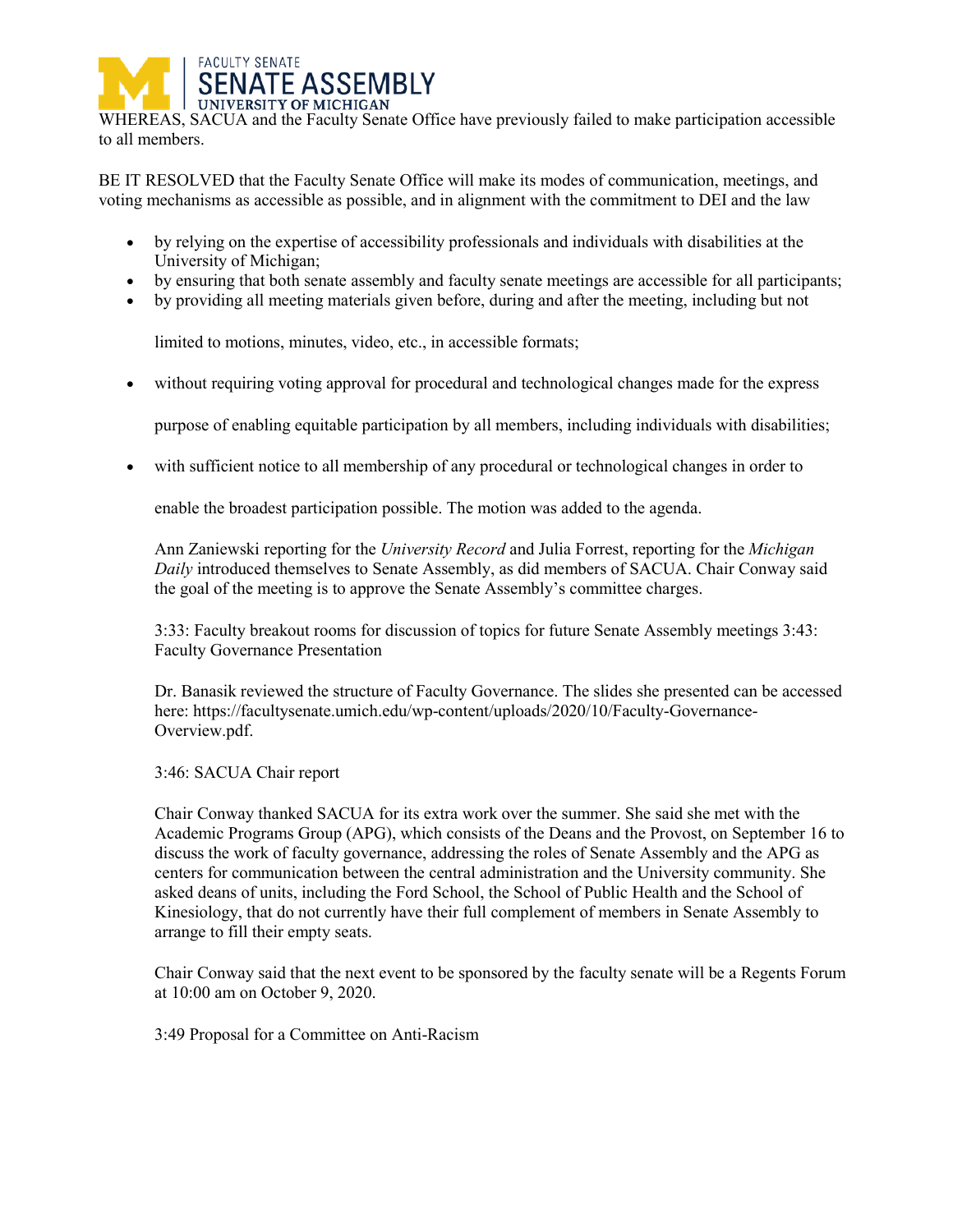

WHEREAS, SACUA and the Faculty Senate Office have previously failed to make participation accessible to all members.

BE IT RESOLVED that the Faculty Senate Office will make its modes of communication, meetings, and voting mechanisms as accessible as possible, and in alignment with the commitment to DEI and the law

- by relying on the expertise of accessibility professionals and individuals with disabilities at the University of Michigan;
- by ensuring that both senate assembly and faculty senate meetings are accessible for all participants;
- by providing all meeting materials given before, during and after the meeting, including but not

limited to motions, minutes, video, etc., in accessible formats;

• without requiring voting approval for procedural and technological changes made for the express

purpose of enabling equitable participation by all members, including individuals with disabilities;

with sufficient notice to all membership of any procedural or technological changes in order to

enable the broadest participation possible. The motion was added to the agenda.

Ann Zaniewski reporting for the *University Record* and Julia Forrest, reporting for the *Michigan Daily* introduced themselves to Senate Assembly, as did members of SACUA. Chair Conway said the goal of the meeting is to approve the Senate Assembly's committee charges.

3:33: Faculty breakout rooms for discussion of topics for future Senate Assembly meetings 3:43: Faculty Governance Presentation

Dr. Banasik reviewed the structure of Faculty Governance. The slides she presented can be accessed here: https://facultysenate.umich.edu/wp-content/uploads/2020/10/Faculty-Governance-Overview.pdf.

3:46: SACUA Chair report

Chair Conway thanked SACUA for its extra work over the summer. She said she met with the Academic Programs Group (APG), which consists of the Deans and the Provost, on September 16 to discuss the work of faculty governance, addressing the roles of Senate Assembly and the APG as centers for communication between the central administration and the University community. She asked deans of units, including the Ford School, the School of Public Health and the School of Kinesiology, that do not currently have their full complement of members in Senate Assembly to arrange to fill their empty seats.

Chair Conway said that the next event to be sponsored by the faculty senate will be a Regents Forum at 10:00 am on October 9, 2020.

3:49 Proposal for a Committee on Anti-Racism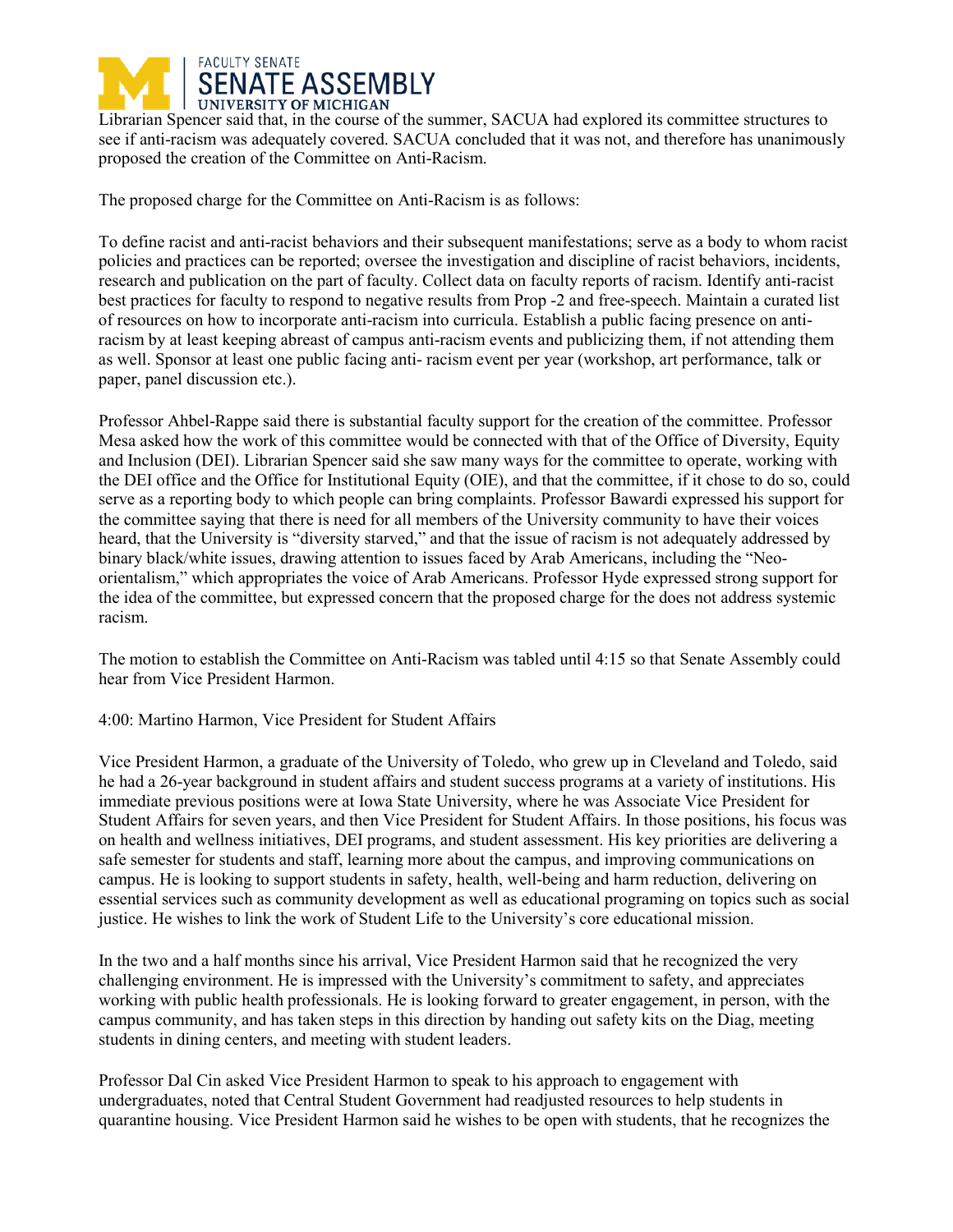

Librarian Spencer said that, in the course of the summer, SACUA had explored its committee structures to see if anti-racism was adequately covered. SACUA concluded that it was not, and therefore has unanimously proposed the creation of the Committee on Anti-Racism.

The proposed charge for the Committee on Anti-Racism is as follows:

To define racist and anti-racist behaviors and their subsequent manifestations; serve as a body to whom racist policies and practices can be reported; oversee the investigation and discipline of racist behaviors, incidents, research and publication on the part of faculty. Collect data on faculty reports of racism. Identify anti-racist best practices for faculty to respond to negative results from Prop -2 and free-speech. Maintain a curated list of resources on how to incorporate anti-racism into curricula. Establish a public facing presence on antiracism by at least keeping abreast of campus anti-racism events and publicizing them, if not attending them as well. Sponsor at least one public facing anti- racism event per year (workshop, art performance, talk or paper, panel discussion etc.).

Professor Ahbel-Rappe said there is substantial faculty support for the creation of the committee. Professor Mesa asked how the work of this committee would be connected with that of the Office of Diversity, Equity and Inclusion (DEI). Librarian Spencer said she saw many ways for the committee to operate, working with the DEI office and the Office for Institutional Equity (OIE), and that the committee, if it chose to do so, could serve as a reporting body to which people can bring complaints. Professor Bawardi expressed his support for the committee saying that there is need for all members of the University community to have their voices heard, that the University is "diversity starved," and that the issue of racism is not adequately addressed by binary black/white issues, drawing attention to issues faced by Arab Americans, including the "Neoorientalism," which appropriates the voice of Arab Americans. Professor Hyde expressed strong support for the idea of the committee, but expressed concern that the proposed charge for the does not address systemic racism.

The motion to establish the Committee on Anti-Racism was tabled until 4:15 so that Senate Assembly could hear from Vice President Harmon.

4:00: Martino Harmon, Vice President for Student Affairs

Vice President Harmon, a graduate of the University of Toledo, who grew up in Cleveland and Toledo, said he had a 26-year background in student affairs and student success programs at a variety of institutions. His immediate previous positions were at Iowa State University, where he was Associate Vice President for Student Affairs for seven years, and then Vice President for Student Affairs. In those positions, his focus was on health and wellness initiatives, DEI programs, and student assessment. His key priorities are delivering a safe semester for students and staff, learning more about the campus, and improving communications on campus. He is looking to support students in safety, health, well-being and harm reduction, delivering on essential services such as community development as well as educational programing on topics such as social justice. He wishes to link the work of Student Life to the University's core educational mission.

In the two and a half months since his arrival, Vice President Harmon said that he recognized the very challenging environment. He is impressed with the University's commitment to safety, and appreciates working with public health professionals. He is looking forward to greater engagement, in person, with the campus community, and has taken steps in this direction by handing out safety kits on the Diag, meeting students in dining centers, and meeting with student leaders.

Professor Dal Cin asked Vice President Harmon to speak to his approach to engagement with undergraduates, noted that Central Student Government had readjusted resources to help students in quarantine housing. Vice President Harmon said he wishes to be open with students, that he recognizes the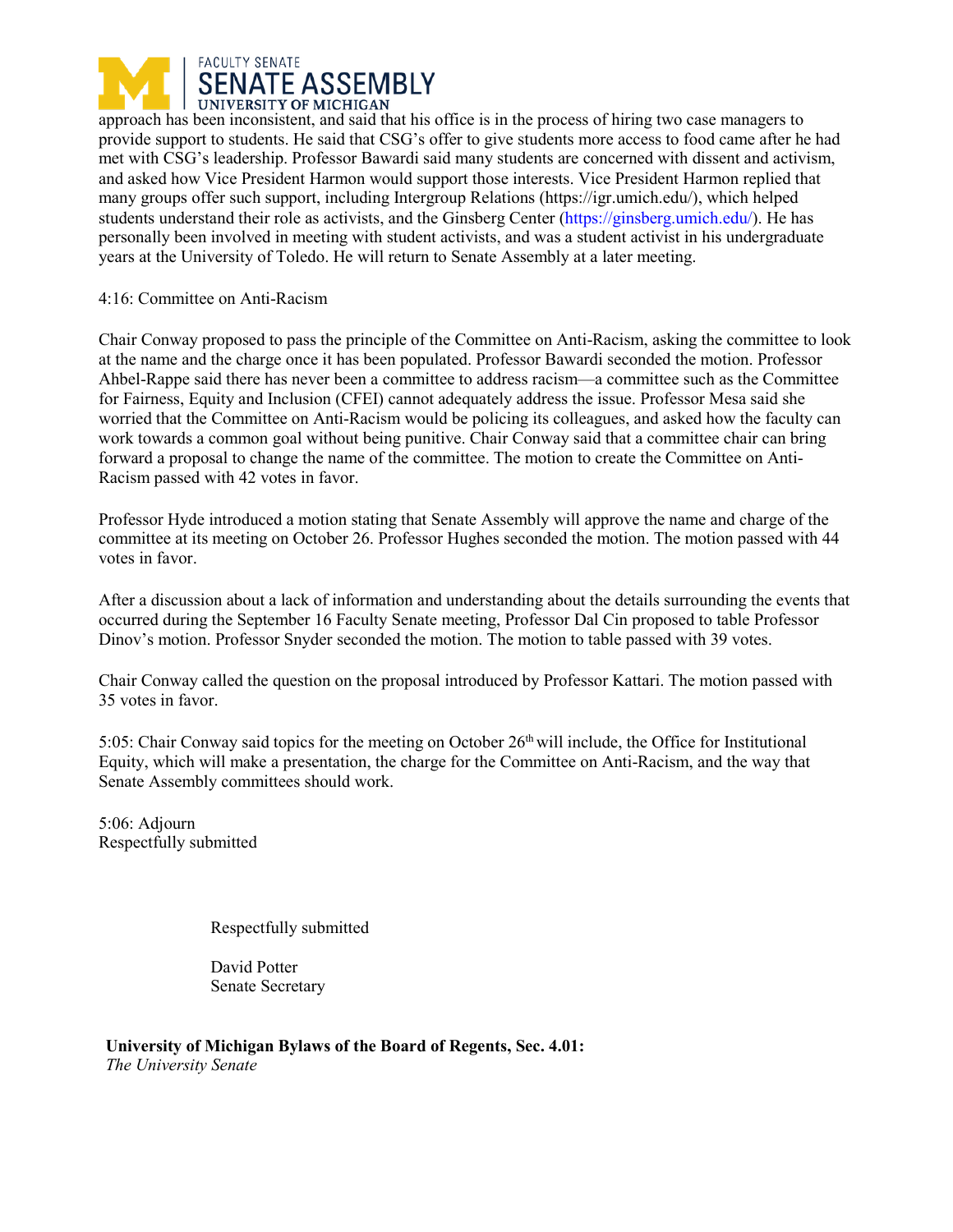

approach has been inconsistent, and said that his office is in the process of hiring two case managers to provide support to students. He said that CSG's offer to give students more access to food came after he had met with CSG's leadership. Professor Bawardi said many students are concerned with dissent and activism, and asked how Vice President Harmon would support those interests. Vice President Harmon replied that many groups offer such support, including Intergroup Relations (https://igr.umich.edu/), which helped students understand their role as activists, and the Ginsberg Center (https://ginsberg.umich.edu/). He has personally been involved in meeting with student activists, and was a student activist in his undergraduate years at the University of Toledo. He will return to Senate Assembly at a later meeting.

## 4:16: Committee on Anti-Racism

Chair Conway proposed to pass the principle of the Committee on Anti-Racism, asking the committee to look at the name and the charge once it has been populated. Professor Bawardi seconded the motion. Professor Ahbel-Rappe said there has never been a committee to address racism—a committee such as the Committee for Fairness, Equity and Inclusion (CFEI) cannot adequately address the issue. Professor Mesa said she worried that the Committee on Anti-Racism would be policing its colleagues, and asked how the faculty can work towards a common goal without being punitive. Chair Conway said that a committee chair can bring forward a proposal to change the name of the committee. The motion to create the Committee on Anti-Racism passed with 42 votes in favor.

Professor Hyde introduced a motion stating that Senate Assembly will approve the name and charge of the committee at its meeting on October 26. Professor Hughes seconded the motion. The motion passed with 44 votes in favor.

After a discussion about a lack of information and understanding about the details surrounding the events that occurred during the September 16 Faculty Senate meeting, Professor Dal Cin proposed to table Professor Dinov's motion. Professor Snyder seconded the motion. The motion to table passed with 39 votes.

Chair Conway called the question on the proposal introduced by Professor Kattari. The motion passed with 35 votes in favor.

5:05: Chair Conway said topics for the meeting on October 26<sup>th</sup> will include, the Office for Institutional Equity, which will make a presentation, the charge for the Committee on Anti-Racism, and the way that Senate Assembly committees should work.

5:06: Adjourn Respectfully submitted

Respectfully submitted

David Potter Senate Secretary

**University of Michigan Bylaws of the Board of Regents, Sec. 4.01:**  *The University Senate*